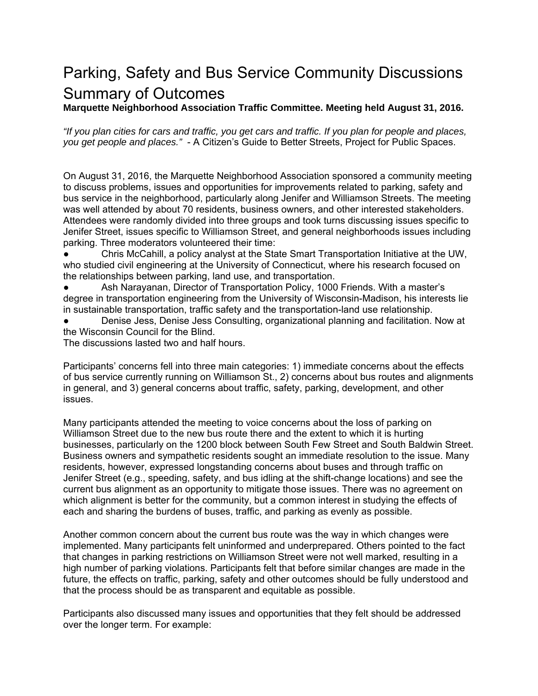# Parking, Safety and Bus Service Community Discussions Summary of Outcomes

**Marquette Neighborhood Association Traffic Committee. Meeting held August 31, 2016.**

*"If you plan cities for cars and traffic, you get cars and traffic. If you plan for people and places, you get people and places."* - A Citizen's Guide to Better Streets, Project for Public Spaces.

On August 31, 2016, the Marquette Neighborhood Association sponsored a community meeting to discuss problems, issues and opportunities for improvements related to parking, safety and bus service in the neighborhood, particularly along Jenifer and Williamson Streets. The meeting was well attended by about 70 residents, business owners, and other interested stakeholders. Attendees were randomly divided into three groups and took turns discussing issues specific to Jenifer Street, issues specific to Williamson Street, and general neighborhoods issues including parking. Three moderators volunteered their time:

Chris McCahill, a policy analyst at the State Smart Transportation Initiative at the UW, who studied civil engineering at the University of Connecticut, where his research focused on the relationships between parking, land use, and transportation.

Ash Narayanan, Director of Transportation Policy, 1000 Friends. With a master's degree in transportation engineering from the University of Wisconsin-Madison, his interests lie in sustainable transportation, traffic safety and the transportation-land use relationship.

Denise Jess, Denise Jess Consulting, organizational planning and facilitation. Now at the Wisconsin Council for the Blind.

The discussions lasted two and half hours.

Participants' concerns fell into three main categories: 1) immediate concerns about the effects of bus service currently running on Williamson St., 2) concerns about bus routes and alignments in general, and 3) general concerns about traffic, safety, parking, development, and other issues.

Many participants attended the meeting to voice concerns about the loss of parking on Williamson Street due to the new bus route there and the extent to which it is hurting businesses, particularly on the 1200 block between South Few Street and South Baldwin Street. Business owners and sympathetic residents sought an immediate resolution to the issue. Many residents, however, expressed longstanding concerns about buses and through traffic on Jenifer Street (e.g., speeding, safety, and bus idling at the shift-change locations) and see the current bus alignment as an opportunity to mitigate those issues. There was no agreement on which alignment is better for the community, but a common interest in studying the effects of each and sharing the burdens of buses, traffic, and parking as evenly as possible.

Another common concern about the current bus route was the way in which changes were implemented. Many participants felt uninformed and underprepared. Others pointed to the fact that changes in parking restrictions on Williamson Street were not well marked, resulting in a high number of parking violations. Participants felt that before similar changes are made in the future, the effects on traffic, parking, safety and other outcomes should be fully understood and that the process should be as transparent and equitable as possible.

Participants also discussed many issues and opportunities that they felt should be addressed over the longer term. For example: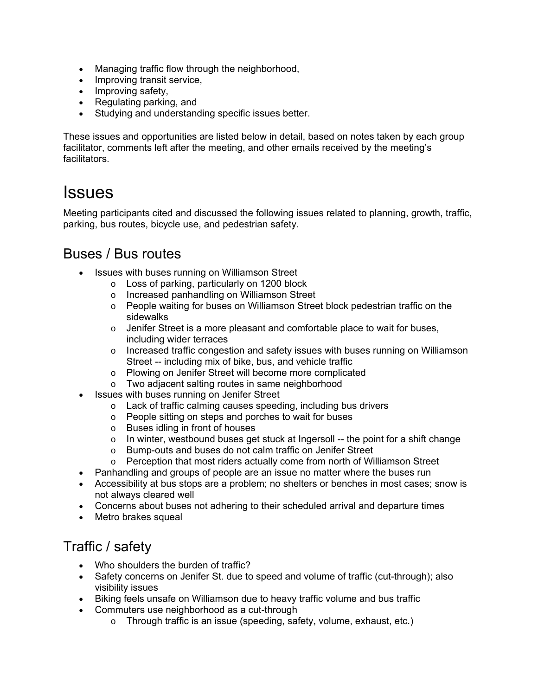- Managing traffic flow through the neighborhood,
- Improving transit service,
- Improving safety,
- Regulating parking, and
- Studying and understanding specific issues better.

These issues and opportunities are listed below in detail, based on notes taken by each group facilitator, comments left after the meeting, and other emails received by the meeting's facilitators.

## **Issues**

Meeting participants cited and discussed the following issues related to planning, growth, traffic, parking, bus routes, bicycle use, and pedestrian safety.

### Buses / Bus routes

- Issues with buses running on Williamson Street
	- o Loss of parking, particularly on 1200 block
	- o Increased panhandling on Williamson Street
	- o People waiting for buses on Williamson Street block pedestrian traffic on the sidewalks
	- $\circ$  Jenifer Street is a more pleasant and comfortable place to wait for buses, including wider terraces
	- o Increased traffic congestion and safety issues with buses running on Williamson Street -- including mix of bike, bus, and vehicle traffic
	- o Plowing on Jenifer Street will become more complicated
	- o Two adjacent salting routes in same neighborhood
- Issues with buses running on Jenifer Street
	- o Lack of traffic calming causes speeding, including bus drivers
	- o People sitting on steps and porches to wait for buses
	- o Buses idling in front of houses
	- $\circ$  In winter, westbound buses get stuck at Ingersoll -- the point for a shift change
	- o Bump-outs and buses do not calm traffic on Jenifer Street
	- o Perception that most riders actually come from north of Williamson Street
- Panhandling and groups of people are an issue no matter where the buses run
- Accessibility at bus stops are a problem; no shelters or benches in most cases; snow is not always cleared well
- Concerns about buses not adhering to their scheduled arrival and departure times
- Metro brakes squeal

### Traffic / safety

- Who shoulders the burden of traffic?
- Safety concerns on Jenifer St. due to speed and volume of traffic (cut-through); also visibility issues
- Biking feels unsafe on Williamson due to heavy traffic volume and bus traffic
- Commuters use neighborhood as a cut-through
	- o Through traffic is an issue (speeding, safety, volume, exhaust, etc.)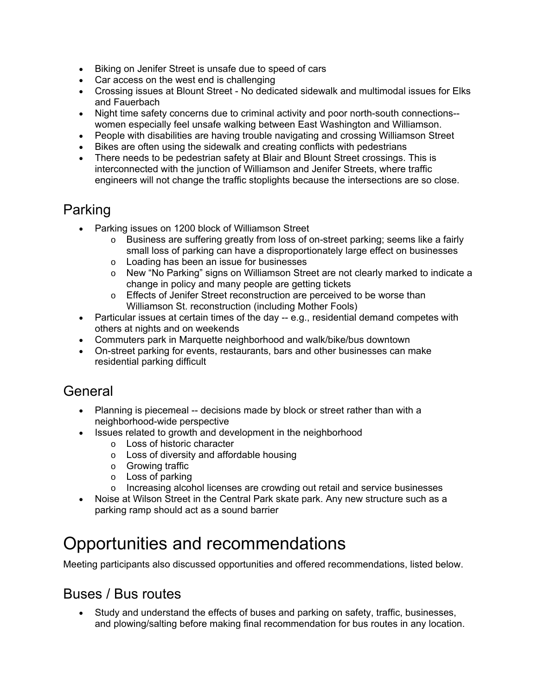- Biking on Jenifer Street is unsafe due to speed of cars
- Car access on the west end is challenging
- Crossing issues at Blount Street No dedicated sidewalk and multimodal issues for Elks and Fauerbach
- Night time safety concerns due to criminal activity and poor north-south connections- women especially feel unsafe walking between East Washington and Williamson.
- People with disabilities are having trouble navigating and crossing Williamson Street
- Bikes are often using the sidewalk and creating conflicts with pedestrians
- There needs to be pedestrian safety at Blair and Blount Street crossings. This is interconnected with the junction of Williamson and Jenifer Streets, where traffic engineers will not change the traffic stoplights because the intersections are so close.

## Parking

- Parking issues on 1200 block of Williamson Street
	- $\circ$  Business are suffering greatly from loss of on-street parking; seems like a fairly small loss of parking can have a disproportionately large effect on businesses
	- o Loading has been an issue for businesses
	- $\circ$  New "No Parking" signs on Williamson Street are not clearly marked to indicate a change in policy and many people are getting tickets
	- o Effects of Jenifer Street reconstruction are perceived to be worse than Williamson St. reconstruction (including Mother Fools)
- Particular issues at certain times of the day -- e.g., residential demand competes with others at nights and on weekends
- Commuters park in Marquette neighborhood and walk/bike/bus downtown
- On-street parking for events, restaurants, bars and other businesses can make residential parking difficult

### General

- Planning is piecemeal -- decisions made by block or street rather than with a neighborhood-wide perspective
- Issues related to growth and development in the neighborhood
	- o Loss of historic character
	- o Loss of diversity and affordable housing
	- o Growing traffic
	- o Loss of parking
	- o Increasing alcohol licenses are crowding out retail and service businesses
- Noise at Wilson Street in the Central Park skate park. Any new structure such as a parking ramp should act as a sound barrier

# Opportunities and recommendations

Meeting participants also discussed opportunities and offered recommendations, listed below.

### Buses / Bus routes

Study and understand the effects of buses and parking on safety, traffic, businesses, and plowing/salting before making final recommendation for bus routes in any location.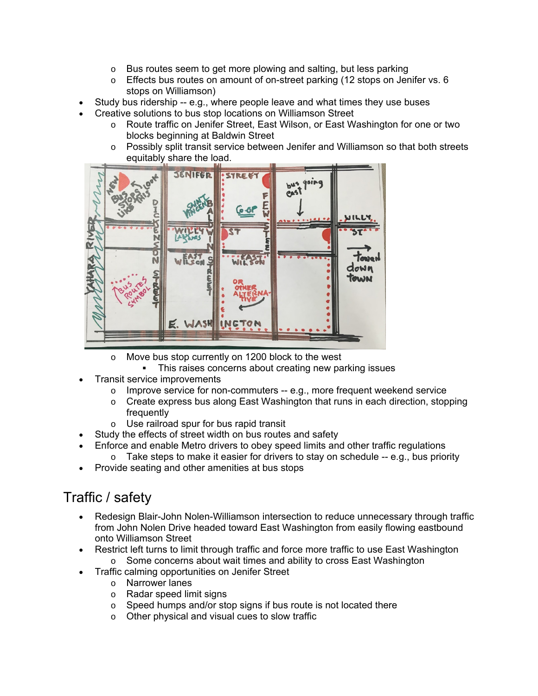- o Bus routes seem to get more plowing and salting, but less parking
- $\circ$  Effects bus routes on amount of on-street parking (12 stops on Jenifer vs. 6 stops on Williamson)
- Study bus ridership -- e.g., where people leave and what times they use buses
	- Creative solutions to bus stop locations on Williamson Street
		- o Route traffic on Jenifer Street, East Wilson, or East Washington for one or two blocks beginning at Baldwin Street
		- o Possibly split transit service between Jenifer and Williamson so that both streets equitably share the load.



- o Move bus stop currently on 1200 block to the west
	- This raises concerns about creating new parking issues
- Transit service improvements
	- $\circ$  Improve service for non-commuters -- e.g., more frequent weekend service
	- $\circ$  Create express bus along East Washington that runs in each direction, stopping frequently
	- o Use railroad spur for bus rapid transit
- Study the effects of street width on bus routes and safety
	- Enforce and enable Metro drivers to obey speed limits and other traffic regulations
		- $\circ$  Take steps to make it easier for drivers to stay on schedule -- e.g., bus priority
- Provide seating and other amenities at bus stops

### Traffic / safety

- Redesign Blair-John Nolen-Williamson intersection to reduce unnecessary through traffic from John Nolen Drive headed toward East Washington from easily flowing eastbound onto Williamson Street
- Restrict left turns to limit through traffic and force more traffic to use East Washington o Some concerns about wait times and ability to cross East Washington
- Traffic calming opportunities on Jenifer Street
	- o Narrower lanes
	- o Radar speed limit signs
	- o Speed humps and/or stop signs if bus route is not located there
	- o Other physical and visual cues to slow traffic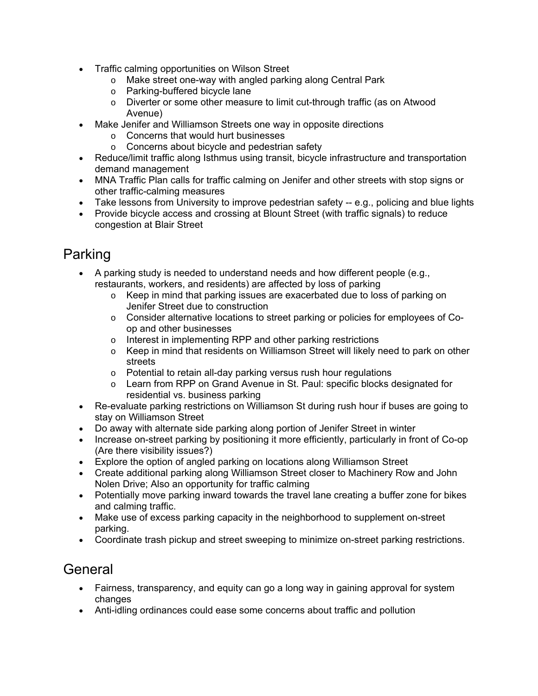- Traffic calming opportunities on Wilson Street
	- o Make street one-way with angled parking along Central Park
	- o Parking-buffered bicycle lane
	- o Diverter or some other measure to limit cut-through traffic (as on Atwood Avenue)
- Make Jenifer and Williamson Streets one way in opposite directions
	- o Concerns that would hurt businesses
	- o Concerns about bicycle and pedestrian safety
- Reduce/limit traffic along Isthmus using transit, bicycle infrastructure and transportation demand management
- MNA Traffic Plan calls for traffic calming on Jenifer and other streets with stop signs or other traffic-calming measures
- Take lessons from University to improve pedestrian safety -- e.g., policing and blue lights
- Provide bicycle access and crossing at Blount Street (with traffic signals) to reduce congestion at Blair Street

## Parking

- A parking study is needed to understand needs and how different people (e.g., restaurants, workers, and residents) are affected by loss of parking
	- $\circ$  Keep in mind that parking issues are exacerbated due to loss of parking on Jenifer Street due to construction
	- $\circ$  Consider alternative locations to street parking or policies for employees of Coop and other businesses
	- o Interest in implementing RPP and other parking restrictions
	- $\circ$  Keep in mind that residents on Williamson Street will likely need to park on other streets
	- o Potential to retain all-day parking versus rush hour regulations
	- $\circ$  Learn from RPP on Grand Avenue in St. Paul: specific blocks designated for residential vs. business parking
- Re-evaluate parking restrictions on Williamson St during rush hour if buses are going to stay on Williamson Street
- Do away with alternate side parking along portion of Jenifer Street in winter
- Increase on-street parking by positioning it more efficiently, particularly in front of Co-op (Are there visibility issues?)
- Explore the option of angled parking on locations along Williamson Street
- Create additional parking along Williamson Street closer to Machinery Row and John Nolen Drive; Also an opportunity for traffic calming
- Potentially move parking inward towards the travel lane creating a buffer zone for bikes and calming traffic.
- Make use of excess parking capacity in the neighborhood to supplement on-street parking.
- Coordinate trash pickup and street sweeping to minimize on-street parking restrictions.

## **General**

- Fairness, transparency, and equity can go a long way in gaining approval for system changes
- Anti-idling ordinances could ease some concerns about traffic and pollution